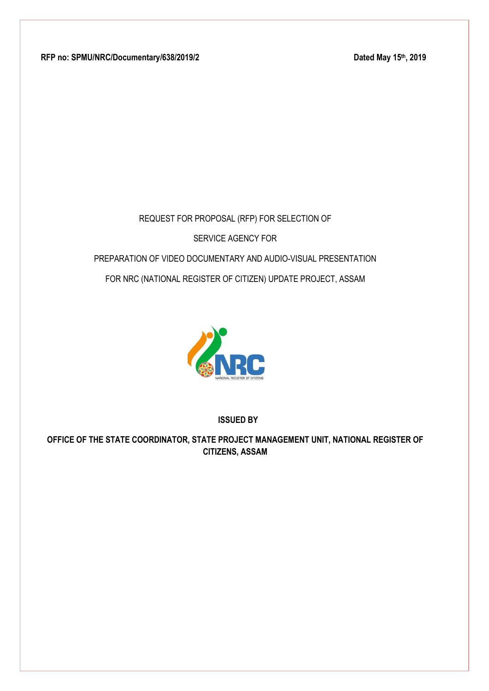RFP no: SPMU/NRC/Documentary/638/2019/2

Dated May 15th, 2019

# REQUEST FOR PROPOSAL (RFP) FOR SELECTION OF SERVICE AGENCY FOR PREPARATION OF VIDEO DOCUMENTARY AND AUDIO-VISUAL PRESENTATION FOR NRC (NATIONAL REGISTER OF CITIZEN) UPDATE PROJECT, ASSAM



**ISSUED BY**

**OFFICE OF THE STATE COORDINATOR, STATE PROJECT MANAGEMENT UNIT, NATIONAL REGISTER OF CITIZENS, ASSAM**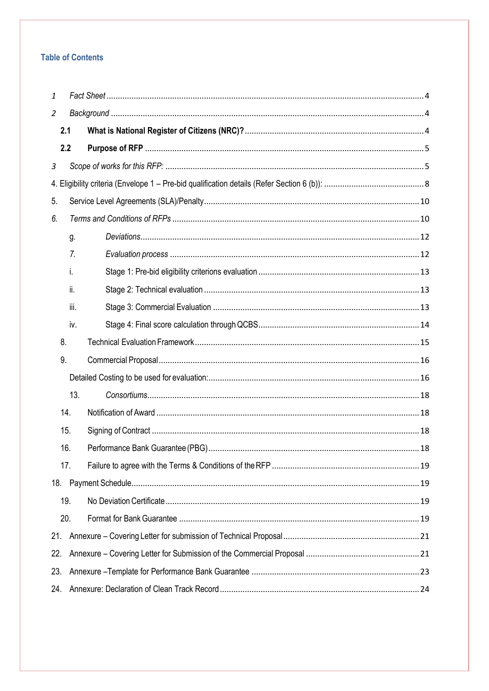# **Table of Contents**

| $\mathbf{1}$   |      |  |  |  |  |
|----------------|------|--|--|--|--|
| 2              |      |  |  |  |  |
| 2.1            |      |  |  |  |  |
| 2.2            |      |  |  |  |  |
| $\mathfrak{Z}$ |      |  |  |  |  |
|                |      |  |  |  |  |
| 5.             |      |  |  |  |  |
| 6.             |      |  |  |  |  |
|                | g.   |  |  |  |  |
|                | 7.   |  |  |  |  |
|                | i.   |  |  |  |  |
|                | ii.  |  |  |  |  |
|                | iii. |  |  |  |  |
|                | iv.  |  |  |  |  |
| 8.             |      |  |  |  |  |
| 9.             |      |  |  |  |  |
|                |      |  |  |  |  |
|                | 13.  |  |  |  |  |
| 14.            |      |  |  |  |  |
| 15.            |      |  |  |  |  |
| 16.            |      |  |  |  |  |
|                | 17.  |  |  |  |  |
|                |      |  |  |  |  |
|                | 19.  |  |  |  |  |
| 20.            |      |  |  |  |  |
| 21.            |      |  |  |  |  |
| 22.            |      |  |  |  |  |
| 23.            |      |  |  |  |  |
| 24.            |      |  |  |  |  |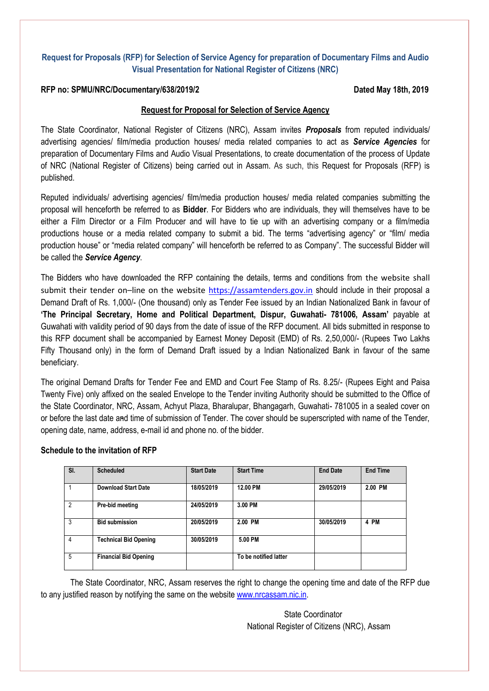# **Request for Proposals (RFP) for Selection of Service Agency for preparation of Documentary Films and Audio Visual Presentation for National Register of Citizens (NRC)**

#### **RFP no: SPMU/NRC/Documentary/638/2019/2 Dated May 18th, 2019**

#### **Request for Proposal for Selection of Service Agency**

The State Coordinator, National Register of Citizens (NRC), Assam invites *Proposals* from reputed individuals/ advertising agencies/ film/media production houses/ media related companies to act as *Service Agencies* for preparation of Documentary Films and Audio Visual Presentations, to create documentation of the process of Update of NRC (National Register of Citizens) being carried out in Assam. As such, this Request for Proposals (RFP) is published.

Reputed individuals/ advertising agencies/ film/media production houses/ media related companies submitting the proposal will henceforth be referred to as **Bidder**. For Bidders who are individuals, they will themselves have to be either a Film Director or a Film Producer and will have to tie up with an advertising company or a film/media productions house or a media related company to submit a bid. The terms "advertising agency" or "film/ media production house" or "media related company" will henceforth be referred to as Company". The successful Bidder will be called the *Service Agency*.

The Bidders who have downloaded the RFP containing the details, terms and conditions from the website shall submit their tender on–line on the website [https://assamtenders.gov.in](https://assamtenders.gov.in/) should include in their proposal a Demand Draft of Rs. 1,000/- (One thousand) only as Tender Fee issued by an Indian Nationalized Bank in favour of **'The Principal Secretary, Home and Political Department, Dispur, Guwahati- 781006, Assam'** payable at Guwahati with validity period of 90 days from the date of issue of the RFP document. All bids submitted in response to this RFP document shall be accompanied by Earnest Money Deposit (EMD) of Rs. 2,50,000/- (Rupees Two Lakhs Fifty Thousand only) in the form of Demand Draft issued by a Indian Nationalized Bank in favour of the same beneficiary.

The original Demand Drafts for Tender Fee and EMD and Court Fee Stamp of Rs. 8.25/- (Rupees Eight and Paisa Twenty Five) only affixed on the sealed Envelope to the Tender inviting Authority should be submitted to the Office of the State Coordinator, NRC, Assam, Achyut Plaza, Bharalupar, Bhangagarh, Guwahati- 781005 in a sealed cover on or before the last date and time of submission of Tender. The cover should be superscripted with name of the Tender, opening date, name, address, e-mail id and phone no. of the bidder.

| SI.            | <b>Scheduled</b>             | <b>Start Date</b> | <b>Start Time</b>     | <b>End Date</b> | <b>End Time</b> |
|----------------|------------------------------|-------------------|-----------------------|-----------------|-----------------|
|                | <b>Download Start Date</b>   | 18/05/2019        | 12.00 PM              | 29/05/2019      | 2.00 PM         |
| $\overline{2}$ | Pre-bid meeting              | 24/05/2019        | 3.00 PM               |                 |                 |
| 3              | <b>Bid submission</b>        | 20/05/2019        | 2.00 PM               | 30/05/2019      | 4 PM            |
| 4              | <b>Technical Bid Opening</b> | 30/05/2019        | 5.00 PM               |                 |                 |
| 5              | <b>Financial Bid Opening</b> |                   | To be notified latter |                 |                 |

#### **Schedule to the invitation of RFP**

The State Coordinator, NRC, Assam reserves the right to change the opening time and date of the RFP due to any justified reason by notifying the same on the website [www.nrcassam.nic.in.](http://www.nrcassam.nic.in/)

> State Coordinator National Register of Citizens (NRC), Assam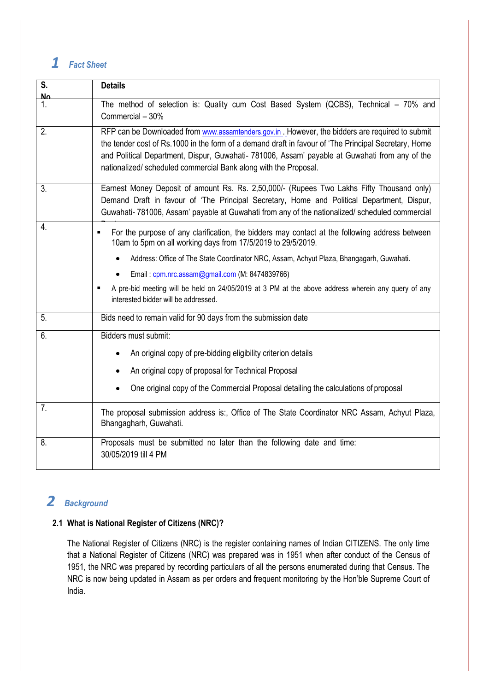# <span id="page-3-0"></span>*1 Fact Sheet*

| S.<br>No | <b>Details</b>                                                                                                                                                                                                                                                                                                                                                                |
|----------|-------------------------------------------------------------------------------------------------------------------------------------------------------------------------------------------------------------------------------------------------------------------------------------------------------------------------------------------------------------------------------|
| 1.       | The method of selection is: Quality cum Cost Based System (QCBS), Technical - 70% and<br>Commercial - 30%                                                                                                                                                                                                                                                                     |
| 2.       | RFP can be Downloaded from www.assamtenders.gov.in. However, the bidders are required to submit<br>the tender cost of Rs.1000 in the form of a demand draft in favour of 'The Principal Secretary, Home<br>and Political Department, Dispur, Guwahati- 781006, Assam' payable at Guwahati from any of the<br>nationalized/ scheduled commercial Bank along with the Proposal. |
| 3.       | Earnest Money Deposit of amount Rs. Rs. 2,50,000/- (Rupees Two Lakhs Fifty Thousand only)<br>Demand Draft in favour of 'The Principal Secretary, Home and Political Department, Dispur,<br>Guwahati-781006, Assam' payable at Guwahati from any of the nationalized/ scheduled commercial                                                                                     |
| 4.       | For the purpose of any clarification, the bidders may contact at the following address between<br>$\blacksquare$<br>10am to 5pm on all working days from 17/5/2019 to 29/5/2019.                                                                                                                                                                                              |
|          | Address: Office of The State Coordinator NRC, Assam, Achyut Plaza, Bhangagarh, Guwahati.                                                                                                                                                                                                                                                                                      |
|          | Email: cpm.nrc.assam@gmail.com (M: 8474839766)                                                                                                                                                                                                                                                                                                                                |
|          | A pre-bid meeting will be held on 24/05/2019 at 3 PM at the above address wherein any query of any<br>$\blacksquare$<br>interested bidder will be addressed.                                                                                                                                                                                                                  |
| 5.       | Bids need to remain valid for 90 days from the submission date                                                                                                                                                                                                                                                                                                                |
| 6.       | Bidders must submit:                                                                                                                                                                                                                                                                                                                                                          |
|          | An original copy of pre-bidding eligibility criterion details                                                                                                                                                                                                                                                                                                                 |
|          | An original copy of proposal for Technical Proposal                                                                                                                                                                                                                                                                                                                           |
|          | One original copy of the Commercial Proposal detailing the calculations of proposal                                                                                                                                                                                                                                                                                           |
| 7.       | The proposal submission address is:, Office of The State Coordinator NRC Assam, Achyut Plaza,<br>Bhangagharh, Guwahati.                                                                                                                                                                                                                                                       |
| 8.       | Proposals must be submitted no later than the following date and time:<br>30/05/2019 till 4 PM                                                                                                                                                                                                                                                                                |

# <span id="page-3-1"></span>*2 Background*

# <span id="page-3-2"></span>**2.1 What is National Register of Citizens (NRC)?**

The National Register of Citizens (NRC) is the register containing names of Indian CITIZENS. The only time that a National Register of Citizens (NRC) was prepared was in 1951 when after conduct of the Census of 1951, the NRC was prepared by recording particulars of all the persons enumerated during that Census. The NRC is now being updated in Assam as per orders and frequent monitoring by the Hon'ble Supreme Court of India.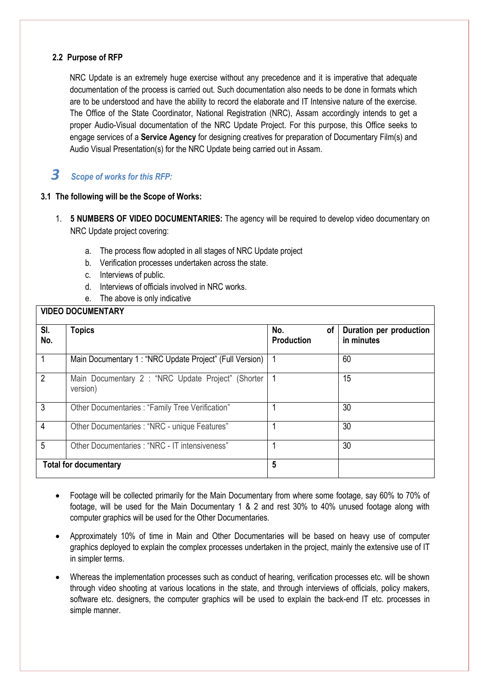# <span id="page-4-0"></span>**2.2 Purpose of RFP**

NRC Update is an extremely huge exercise without any precedence and it is imperative that adequate documentation of the process is carried out. Such documentation also needs to be done in formats which are to be understood and have the ability to record the elaborate and IT Intensive nature of the exercise. The Office of the State Coordinator, National Registration (NRC), Assam accordingly intends to get a proper Audio-Visual documentation of the NRC Update Project. For this purpose, this Office seeks to engage services of a **Service Agency** for designing creatives for preparation of Documentary Film(s) and Audio Visual Presentation(s) for the NRC Update being carried out in Assam.

# <span id="page-4-1"></span>*3 Scope of works for this RFP:*

### **3.1 The following will be the Scope of Works:**

- 1. **5 NUMBERS OF VIDEO DOCUMENTARIES:** The agency will be required to develop video documentary on NRC Update project covering:
	- a. The process flow adopted in all stages of NRC Update project
	- b. Verification processes undertaken across the state.
	- c. Interviews of public.
	- d. Interviews of officials involved in NRC works.
	- e. The above is only indicative

#### **VIDEO DOCUMENTARY**

| SI.<br>No.     | <b>Topics</b>                                                  | No.<br>οf<br><b>Production</b> | Duration per production<br>in minutes |
|----------------|----------------------------------------------------------------|--------------------------------|---------------------------------------|
| 1              | Main Documentary 1: "NRC Update Project" (Full Version)        |                                | 60                                    |
| $\overline{2}$ | Main Documentary 2 : "NRC Update Project" (Shorter<br>version) |                                | 15                                    |
| 3              | Other Documentaries : "Family Tree Verification"               |                                | 30                                    |
| 4              | Other Documentaries : "NRC - unique Features"                  |                                | 30                                    |
| 5              | Other Documentaries: "NRC - IT intensiveness"                  |                                | 30                                    |
|                | <b>Total for documentary</b>                                   | 5                              |                                       |

- Footage will be collected primarily for the Main Documentary from where some footage, say 60% to 70% of footage, will be used for the Main Documentary 1 & 2 and rest 30% to 40% unused footage along with computer graphics will be used for the Other Documentaries.
- Approximately 10% of time in Main and Other Documentaries will be based on heavy use of computer graphics deployed to explain the complex processes undertaken in the project, mainly the extensive use of IT in simpler terms.
- Whereas the implementation processes such as conduct of hearing, verification processes etc. will be shown through video shooting at various locations in the state, and through interviews of officials, policy makers, software etc. designers, the computer graphics will be used to explain the back-end IT etc. processes in simple manner.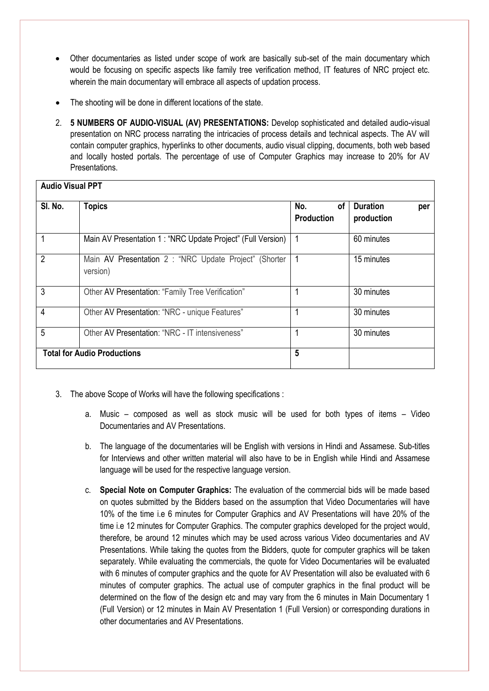- Other documentaries as listed under scope of work are basically sub-set of the main documentary which would be focusing on specific aspects like family tree verification method, IT features of NRC project etc. wherein the main documentary will embrace all aspects of updation process.
- The shooting will be done in different locations of the state.
- 2. **5 NUMBERS OF AUDIO-VISUAL (AV) PRESENTATIONS:** Develop sophisticated and detailed audio-visual presentation on NRC process narrating the intricacies of process details and technical aspects. The AV will contain computer graphics, hyperlinks to other documents, audio visual clipping, documents, both web based and locally hosted portals. The percentage of use of Computer Graphics may increase to 20% for AV Presentations.

| SI. No.        | <b>Topics</b>                                                      | No.<br>οf<br><b>Production</b> | <b>Duration</b><br>per<br>production |
|----------------|--------------------------------------------------------------------|--------------------------------|--------------------------------------|
|                | Main AV Presentation 1 : "NRC Update Project" (Full Version)       |                                | 60 minutes                           |
| 2              | Main AV Presentation 2 : "NRC Update Project" (Shorter<br>version) |                                | 15 minutes                           |
| 3              | Other AV Presentation: "Family Tree Verification"                  |                                | 30 minutes                           |
| $\overline{4}$ | Other AV Presentation: "NRC - unique Features"                     |                                | 30 minutes                           |
| 5              | Other AV Presentation: "NRC - IT intensiveness"                    |                                | 30 minutes                           |
|                | <b>Total for Audio Productions</b>                                 | 5                              |                                      |

- 3. The above Scope of Works will have the following specifications :
	- a. Music composed as well as stock music will be used for both types of items Video Documentaries and AV Presentations.
	- b. The language of the documentaries will be English with versions in Hindi and Assamese. Sub-titles for Interviews and other written material will also have to be in English while Hindi and Assamese language will be used for the respective language version.
	- c. **Special Note on Computer Graphics:** The evaluation of the commercial bids will be made based on quotes submitted by the Bidders based on the assumption that Video Documentaries will have 10% of the time i.e 6 minutes for Computer Graphics and AV Presentations will have 20% of the time i.e 12 minutes for Computer Graphics. The computer graphics developed for the project would, therefore, be around 12 minutes which may be used across various Video documentaries and AV Presentations. While taking the quotes from the Bidders, quote for computer graphics will be taken separately. While evaluating the commercials, the quote for Video Documentaries will be evaluated with 6 minutes of computer graphics and the quote for AV Presentation will also be evaluated with 6 minutes of computer graphics. The actual use of computer graphics in the final product will be determined on the flow of the design etc and may vary from the 6 minutes in Main Documentary 1 (Full Version) or 12 minutes in Main AV Presentation 1 (Full Version) or corresponding durations in other documentaries and AV Presentations.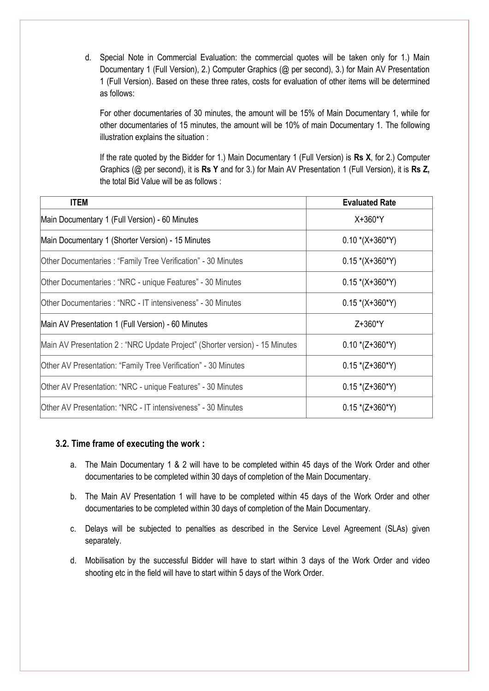d. Special Note in Commercial Evaluation: the commercial quotes will be taken only for 1.) Main Documentary 1 (Full Version), 2.) Computer Graphics (@ per second), 3.) for Main AV Presentation 1 (Full Version). Based on these three rates, costs for evaluation of other items will be determined as follows:

For other documentaries of 30 minutes, the amount will be 15% of Main Documentary 1, while for other documentaries of 15 minutes, the amount will be 10% of main Documentary 1. The following illustration explains the situation :

If the rate quoted by the Bidder for 1.) Main Documentary 1 (Full Version) is **Rs X**, for 2.) Computer Graphics (@ per second), it is **Rs Y** and for 3.) for Main AV Presentation 1 (Full Version), it is **Rs Z,**  the total Bid Value will be as follows :

| <b>ITEM</b>                                                                  | <b>Evaluated Rate</b> |
|------------------------------------------------------------------------------|-----------------------|
| Main Documentary 1 (Full Version) - 60 Minutes                               | X+360*Y               |
| Main Documentary 1 (Shorter Version) - 15 Minutes                            | $0.10*(X+360*Y)$      |
| Other Documentaries : "Family Tree Verification" - 30 Minutes                | $0.15*(X+360*Y)$      |
| Other Documentaries : "NRC - unique Features" - 30 Minutes                   | $0.15*(X+360*Y)$      |
| lOther Documentaries : "NRC - IT intensiveness" - 30 Minutes                 | $0.15*(X+360*Y)$      |
| Main AV Presentation 1 (Full Version) - 60 Minutes                           | Z+360*Y               |
| Main AV Presentation 2 : "NRC Update Project" (Shorter version) - 15 Minutes | $0.10*(Z+360*Y)$      |
| Other AV Presentation: "Family Tree Verification" - 30 Minutes               | $0.15*(Z+360*Y)$      |
| Other AV Presentation: "NRC - unique Features" - 30 Minutes                  | $0.15*(Z+360*Y)$      |
| lOther AV Presentation: "NRC - IT intensiveness" - 30 Minutes                | $0.15*(Z+360*Y)$      |

#### **3.2. Time frame of executing the work :**

- a. The Main Documentary 1 & 2 will have to be completed within 45 days of the Work Order and other documentaries to be completed within 30 days of completion of the Main Documentary.
- b. The Main AV Presentation 1 will have to be completed within 45 days of the Work Order and other documentaries to be completed within 30 days of completion of the Main Documentary.
- c. Delays will be subjected to penalties as described in the Service Level Agreement (SLAs) given separately.
- d. Mobilisation by the successful Bidder will have to start within 3 days of the Work Order and video shooting etc in the field will have to start within 5 days of the Work Order.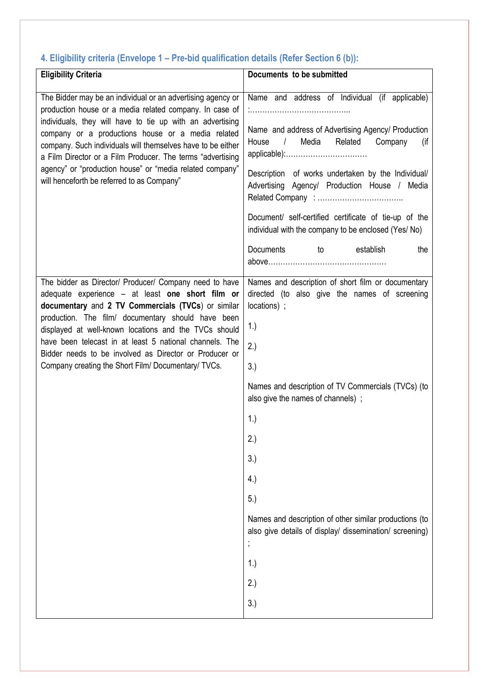# <span id="page-7-0"></span>**4. Eligibility criteria (Envelope 1 – Pre-bid qualification details (Refer Section 6 (b)):**

| <b>Eligibility Criteria</b>                                                                                                                                                                                                                                                                                                                                                                                                                                                     | Documents to be submitted                                                                                                                                                                                                                                                                                                                                                                                                                          |
|---------------------------------------------------------------------------------------------------------------------------------------------------------------------------------------------------------------------------------------------------------------------------------------------------------------------------------------------------------------------------------------------------------------------------------------------------------------------------------|----------------------------------------------------------------------------------------------------------------------------------------------------------------------------------------------------------------------------------------------------------------------------------------------------------------------------------------------------------------------------------------------------------------------------------------------------|
| The Bidder may be an individual or an advertising agency or<br>production house or a media related company. In case of<br>individuals, they will have to tie up with an advertising<br>company or a productions house or a media related<br>company. Such individuals will themselves have to be either<br>a Film Director or a Film Producer. The terms "advertising<br>agency" or "production house" or "media related company"<br>will henceforth be referred to as Company" | Name and address of Individual (if applicable)<br>Name and address of Advertising Agency/ Production<br>Media<br>Related<br>House<br>$\frac{1}{2}$<br>Company<br>(if<br>applicable):<br>Description of works undertaken by the Individual/<br>Advertising Agency/ Production House / Media<br>Document/ self-certified certificate of tie-up of the<br>individual with the company to be enclosed (Yes/ No)<br>Documents<br>establish<br>the<br>to |
| The bidder as Director/ Producer/ Company need to have<br>adequate experience - at least one short film or<br>documentary and 2 TV Commercials (TVCs) or similar<br>production. The film/ documentary should have been<br>displayed at well-known locations and the TVCs should<br>have been telecast in at least 5 national channels. The<br>Bidder needs to be involved as Director or Producer or<br>Company creating the Short Film/ Documentary/ TVCs.                     | Names and description of short film or documentary<br>directed (to also give the names of screening<br>locations) ;<br>1.)<br>2.)<br>3.)<br>Names and description of TV Commercials (TVCs) (to<br>also give the names of channels);<br>1.)<br>2.)<br>3.)<br>4.)<br>5.)<br>Names and description of other similar productions (to<br>also give details of display/ dissemination/ screening)<br>$\pmb{\cdot}$<br>1.)<br>2.)<br>3.)                  |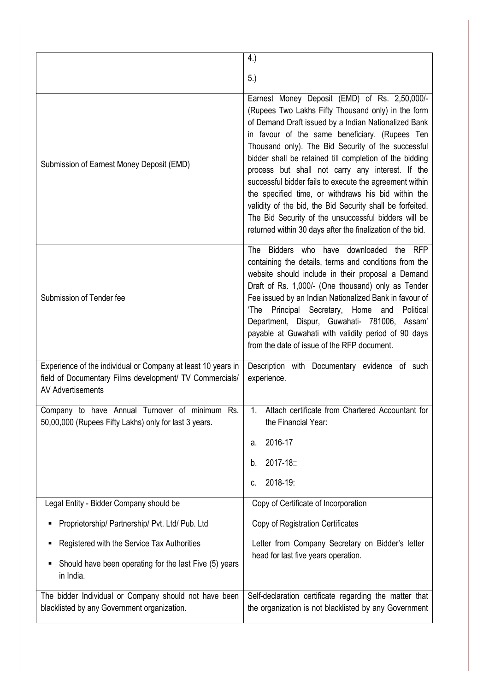|                                                                                                                                                     | 4.)                                                                                                                                                                                                                                                                                                                                                                                                                                                                                                                                                                                                                                                                                     |
|-----------------------------------------------------------------------------------------------------------------------------------------------------|-----------------------------------------------------------------------------------------------------------------------------------------------------------------------------------------------------------------------------------------------------------------------------------------------------------------------------------------------------------------------------------------------------------------------------------------------------------------------------------------------------------------------------------------------------------------------------------------------------------------------------------------------------------------------------------------|
|                                                                                                                                                     | 5.)                                                                                                                                                                                                                                                                                                                                                                                                                                                                                                                                                                                                                                                                                     |
|                                                                                                                                                     |                                                                                                                                                                                                                                                                                                                                                                                                                                                                                                                                                                                                                                                                                         |
| Submission of Earnest Money Deposit (EMD)                                                                                                           | Earnest Money Deposit (EMD) of Rs. 2,50,000/-<br>(Rupees Two Lakhs Fifty Thousand only) in the form<br>of Demand Draft issued by a Indian Nationalized Bank<br>in favour of the same beneficiary. (Rupees Ten<br>Thousand only). The Bid Security of the successful<br>bidder shall be retained till completion of the bidding<br>process but shall not carry any interest. If the<br>successful bidder fails to execute the agreement within<br>the specified time, or withdraws his bid within the<br>validity of the bid, the Bid Security shall be forfeited.<br>The Bid Security of the unsuccessful bidders will be<br>returned within 30 days after the finalization of the bid. |
| Submission of Tender fee                                                                                                                            | The Bidders who have downloaded the RFP<br>containing the details, terms and conditions from the<br>website should include in their proposal a Demand<br>Draft of Rs. 1,000/- (One thousand) only as Tender<br>Fee issued by an Indian Nationalized Bank in favour of<br>'The Principal Secretary, Home and Political<br>Department, Dispur, Guwahati- 781006, Assam'<br>payable at Guwahati with validity period of 90 days<br>from the date of issue of the RFP document.                                                                                                                                                                                                             |
| Experience of the individual or Company at least 10 years in<br>field of Documentary Films development/ TV Commercials/<br><b>AV Advertisements</b> | Description with Documentary evidence of such<br>experience.                                                                                                                                                                                                                                                                                                                                                                                                                                                                                                                                                                                                                            |
| Company to have Annual Turnover of minimum Rs.<br>50,00,000 (Rupees Fifty Lakhs) only for last 3 years.                                             | Attach certificate from Chartered Accountant for<br>the Financial Year:                                                                                                                                                                                                                                                                                                                                                                                                                                                                                                                                                                                                                 |
|                                                                                                                                                     | 2016-17<br>а.                                                                                                                                                                                                                                                                                                                                                                                                                                                                                                                                                                                                                                                                           |
|                                                                                                                                                     | 2017-18:<br>b.                                                                                                                                                                                                                                                                                                                                                                                                                                                                                                                                                                                                                                                                          |
|                                                                                                                                                     | 2018-19:<br>c.                                                                                                                                                                                                                                                                                                                                                                                                                                                                                                                                                                                                                                                                          |
| Legal Entity - Bidder Company should be                                                                                                             | Copy of Certificate of Incorporation                                                                                                                                                                                                                                                                                                                                                                                                                                                                                                                                                                                                                                                    |
| Proprietorship/ Partnership/ Pvt. Ltd/ Pub. Ltd                                                                                                     | Copy of Registration Certificates                                                                                                                                                                                                                                                                                                                                                                                                                                                                                                                                                                                                                                                       |
| Registered with the Service Tax Authorities<br>п                                                                                                    | Letter from Company Secretary on Bidder's letter                                                                                                                                                                                                                                                                                                                                                                                                                                                                                                                                                                                                                                        |
| Should have been operating for the last Five (5) years<br>п<br>in India.                                                                            | head for last five years operation.                                                                                                                                                                                                                                                                                                                                                                                                                                                                                                                                                                                                                                                     |
| The bidder Individual or Company should not have been<br>blacklisted by any Government organization.                                                | Self-declaration certificate regarding the matter that<br>the organization is not blacklisted by any Government                                                                                                                                                                                                                                                                                                                                                                                                                                                                                                                                                                         |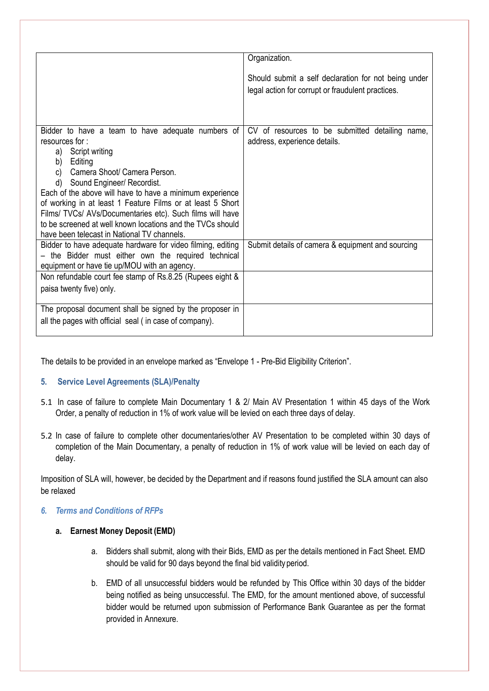|                                                             | Organization.                                        |
|-------------------------------------------------------------|------------------------------------------------------|
|                                                             | Should submit a self declaration for not being under |
|                                                             | legal action for corrupt or fraudulent practices.    |
|                                                             |                                                      |
|                                                             |                                                      |
| Bidder to have a team to have adequate numbers of           | CV of resources to be submitted detailing name,      |
| resources for:                                              | address, experience details.                         |
| a) Script writing                                           |                                                      |
| b)<br>Editing                                               |                                                      |
| Camera Shoot/ Camera Person.<br>C)                          |                                                      |
| d) Sound Engineer/ Recordist.                               |                                                      |
| Each of the above will have to have a minimum experience    |                                                      |
| of working in at least 1 Feature Films or at least 5 Short  |                                                      |
| Films/ TVCs/ AVs/Documentaries etc). Such films will have   |                                                      |
| to be screened at well known locations and the TVCs should  |                                                      |
| have been telecast in National TV channels.                 |                                                      |
| Bidder to have adequate hardware for video filming, editing | Submit details of camera & equipment and sourcing    |
| - the Bidder must either own the required technical         |                                                      |
| equipment or have tie up/MOU with an agency.                |                                                      |
| Non refundable court fee stamp of Rs.8.25 (Rupees eight &   |                                                      |
|                                                             |                                                      |
| paisa twenty five) only.                                    |                                                      |
| The proposal document shall be signed by the proposer in    |                                                      |
| all the pages with official seal (in case of company).      |                                                      |
|                                                             |                                                      |

The details to be provided in an envelope marked as "Envelope 1 - Pre-Bid Eligibility Criterion".

# <span id="page-9-0"></span>**5. Service Level Agreements (SLA)/Penalty**

- 5.1 In case of failure to complete Main Documentary 1 & 2/ Main AV Presentation 1 within 45 days of the Work Order, a penalty of reduction in 1% of work value will be levied on each three days of delay.
- 5.2 In case of failure to complete other documentaries/other AV Presentation to be completed within 30 days of completion of the Main Documentary, a penalty of reduction in 1% of work value will be levied on each day of delay.

Imposition of SLA will, however, be decided by the Department and if reasons found justified the SLA amount can also be relaxed

### <span id="page-9-1"></span>*6. Terms and Conditions of RFPs*

### **a. Earnest Money Deposit (EMD)**

- a. Bidders shall submit, along with their Bids, EMD as per the details mentioned in Fact Sheet. EMD should be valid for 90 days beyond the final bid validity period.
- b. EMD of all unsuccessful bidders would be refunded by This Office within 30 days of the bidder being notified as being unsuccessful. The EMD, for the amount mentioned above, of successful bidder would be returned upon submission of Performance Bank Guarantee as per the format provided in Annexure.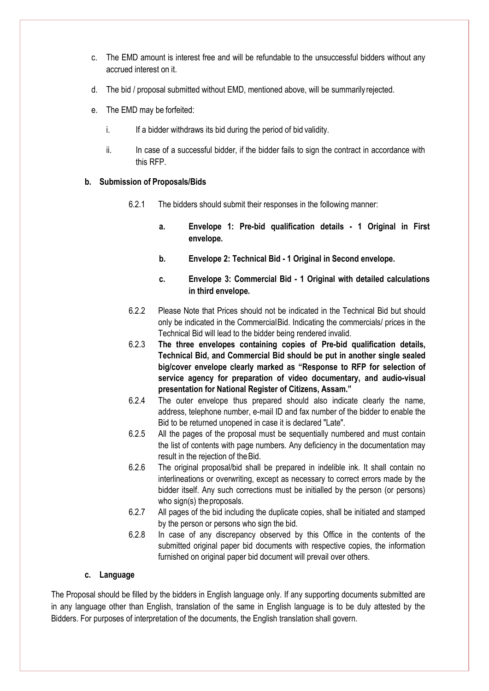- c. The EMD amount is interest free and will be refundable to the unsuccessful bidders without any accrued interest on it.
- d. The bid / proposal submitted without EMD, mentioned above, will be summarily rejected.
- e. The EMD may be forfeited:
	- i. If a bidder withdraws its bid during the period of bid validity.
	- ii. In case of a successful bidder, if the bidder fails to sign the contract in accordance with this RFP.

#### **b. Submission of Proposals/Bids**

- 6.2.1 The bidders should submit their responses in the following manner:
	- **a. Envelope 1: Pre-bid qualification details - 1 Original in First envelope.**
	- **b. Envelope 2: Technical Bid - 1 Original in Second envelope.**
	- **c. Envelope 3: Commercial Bid - 1 Original with detailed calculations in third envelope.**
- 6.2.2 Please Note that Prices should not be indicated in the Technical Bid but should only be indicated in the Commercial Bid. Indicating the commercials/ prices in the Technical Bid will lead to the bidder being rendered invalid.
- 6.2.3 **The three envelopes containing copies of Pre-bid qualification details, Technical Bid, and Commercial Bid should be put in another single sealed big/cover envelope clearly marked as "Response to RFP for selection of service agency for preparation of video documentary, and audio-visual presentation for National Register of Citizens, Assam."**
- 6.2.4 The outer envelope thus prepared should also indicate clearly the name, address, telephone number, e-mail ID and fax number of the bidder to enable the Bid to be returned unopened in case it is declared "Late".
- 6.2.5 All the pages of the proposal must be sequentially numbered and must contain the list of contents with page numbers. Any deficiency in the documentation may result in the rejection of the Bid.
- 6.2.6 The original proposal/bid shall be prepared in indelible ink. It shall contain no interlineations or overwriting, except as necessary to correct errors made by the bidder itself. Any such corrections must be initialled by the person (or persons) who sign(s) the proposals.
- 6.2.7 All pages of the bid including the duplicate copies, shall be initiated and stamped by the person or persons who sign the bid.
- 6.2.8 In case of any discrepancy observed by this Office in the contents of the submitted original paper bid documents with respective copies, the information furnished on original paper bid document will prevail over others.

#### **c. Language**

The Proposal should be filled by the bidders in English language only. If any supporting documents submitted are in any language other than English, translation of the same in English language is to be duly attested by the Bidders. For purposes of interpretation of the documents, the English translation shall govern.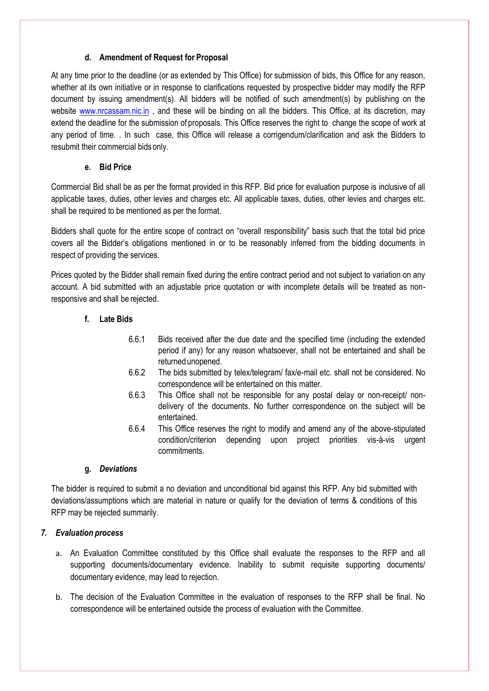# **d. Amendment of Request for Proposal**

At any time prior to the deadline (or as extended by This Office) for submission of bids, this Office for any reason, whether at its own initiative or in response to clarifications requested by prospective bidder may modify the RFP document by issuing amendment(s). All bidders will be notified of such amendment(s) by publishing on the website [www.nrcassam.nic.in](http://www.nrcassam.nic.in/) , and these will be binding on all the bidders. This Office, at its discretion, may extend the deadline for the submission of proposals. This Office reserves the right to change the scope of work at any period of time. . In such case, this Office will release a corrigendum/clarification and ask the Bidders to resubmit their commercial bids only.

# **e. Bid Price**

Commercial Bid shall be as per the format provided in this RFP. Bid price for evaluation purpose is inclusive of all applicable taxes, duties, other levies and charges etc. All applicable taxes, duties, other levies and charges etc. shall be required to be mentioned as per the format.

Bidders shall quote for the entire scope of contract on "overall responsibility" basis such that the total bid price covers all the Bidder's obligations mentioned in or to be reasonably inferred from the bidding documents in respect of providing the services.

Prices quoted by the Bidder shall remain fixed during the entire contract period and not subject to variation on any account. A bid submitted with an adjustable price quotation or with incomplete details will be treated as nonresponsive and shall be rejected.

# **f. Late Bids**

- 6.6.1 Bids received after the due date and the specified time (including the extended period if any) for any reason whatsoever, shall not be entertained and shall be returned unopened.
- 6.6.2 The bids submitted by telex/telegram/ fax/e-mail etc. shall not be considered. No correspondence will be entertained on this matter.
- 6.6.3 This Office shall not be responsible for any postal delay or non-receipt/ nondelivery of the documents. No further correspondence on the subject will be entertained.
- 6.6.4 This Office reserves the right to modify and amend any of the above-stipulated condition/criterion depending upon project priorities vis-à-vis urgent commitments.

### **g.** *Deviations*

<span id="page-11-0"></span>The bidder is required to submit a no deviation and unconditional bid against this RFP. Any bid submitted with deviations/assumptions which are material in nature or qualify for the deviation of terms & conditions of this RFP may be rejected summarily.

### <span id="page-11-1"></span>*7. Evaluation process*

- a. An Evaluation Committee constituted by this Office shall evaluate the responses to the RFP and all supporting documents/documentary evidence. Inability to submit requisite supporting documents/ documentary evidence, may lead to rejection.
- b. The decision of the Evaluation Committee in the evaluation of responses to the RFP shall be final. No correspondence will be entertained outside the process of evaluation with the Committee.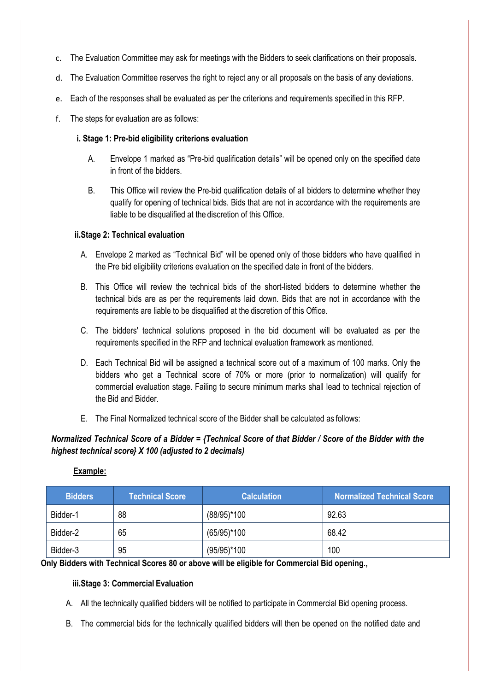- c. The Evaluation Committee may ask for meetings with the Bidders to seek clarifications on their proposals.
- d. The Evaluation Committee reserves the right to reject any or all proposals on the basis of any deviations.
- e. Each of the responses shall be evaluated as per the criterions and requirements specified in this RFP.
- f. The steps for evaluation are as follows:

# <span id="page-12-0"></span>**i. Stage 1: Pre-bid eligibility criterions evaluation**

- A. Envelope 1 marked as "Pre-bid qualification details" will be opened only on the specified date in front of the bidders.
- B. This Office will review the Pre-bid qualification details of all bidders to determine whether they qualify for opening of technical bids. Bids that are not in accordance with the requirements are liable to be disqualified at the discretion of this Office.

# <span id="page-12-1"></span>**ii.Stage 2: Technical evaluation**

- A. Envelope 2 marked as "Technical Bid" will be opened only of those bidders who have qualified in the Pre bid eligibility criterions evaluation on the specified date in front of the bidders.
- B. This Office will review the technical bids of the short-listed bidders to determine whether the technical bids are as per the requirements laid down. Bids that are not in accordance with the requirements are liable to be disqualified at the discretion of this Office.
- C. The bidders' technical solutions proposed in the bid document will be evaluated as per the requirements specified in the RFP and technical evaluation framework as mentioned.
- D. Each Technical Bid will be assigned a technical score out of a maximum of 100 marks. Only the bidders who get a Technical score of 70% or more (prior to normalization) will qualify for commercial evaluation stage. Failing to secure minimum marks shall lead to technical rejection of the Bid and Bidder.
- E. The Final Normalized technical score of the Bidder shall be calculated as follows:

# *Normalized Technical Score of a Bidder = {Technical Score of that Bidder / Score of the Bidder with the highest technical score} X 100 (adjusted to 2 decimals)*

### **Example:**

| <b>Bidders</b> | <b>Technical Score</b> | <b>Calculation</b>         | <b>Normalized Technical Score</b> |
|----------------|------------------------|----------------------------|-----------------------------------|
| Bidder-1       | 88                     | $(88/95)*100$              | 92.63                             |
| Bidder-2       | 65                     | $(65/95)*100$              | 68.42                             |
| Bidder-3       | 95                     | $(95/95)$ <sup>*</sup> 100 | 100                               |

### <span id="page-12-2"></span>**Only Bidders with Technical Scores 80 or above will be eligible for Commercial Bid opening.,**

### **iii.Stage 3: Commercial Evaluation**

- A. All the technically qualified bidders will be notified to participate in Commercial Bid opening process.
- B. The commercial bids for the technically qualified bidders will then be opened on the notified date and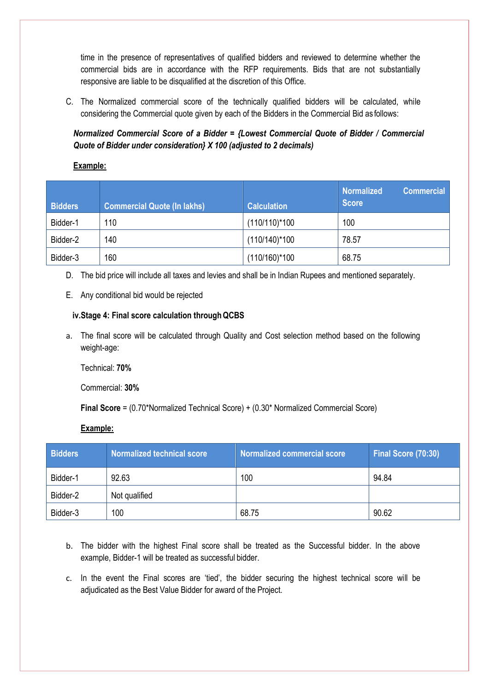time in the presence of representatives of qualified bidders and reviewed to determine whether the commercial bids are in accordance with the RFP requirements. Bids that are not substantially responsive are liable to be disqualified at the discretion of this Office.

C. The Normalized commercial score of the technically qualified bidders will be calculated, while considering the Commercial quote given by each of the Bidders in the Commercial Bid as follows:

*Normalized Commercial Score of a Bidder = {Lowest Commercial Quote of Bidder / Commercial Quote of Bidder under consideration} X 100 (adjusted to 2 decimals)*

#### **Example:**

| <b>Bidders</b> | <b>Commercial Quote (In lakhs)</b> | <b>Calculation</b> | <b>Normalized</b><br><b>Commercial</b><br><b>Score</b> |
|----------------|------------------------------------|--------------------|--------------------------------------------------------|
| Bidder-1       | 110                                | $(110/110)*100$    | 100                                                    |
| Bidder-2       | 140                                | $(110/140)$ *100   | 78.57                                                  |
| Bidder-3       | 160                                | $(110/160)$ * 100  | 68.75                                                  |

- D. The bid price will include all taxes and levies and shall be in Indian Rupees and mentioned separately.
- E. Any conditional bid would be rejected

### <span id="page-13-0"></span>**iv.Stage 4: Final score calculation throughQCBS**

a. The final score will be calculated through Quality and Cost selection method based on the following weight-age:

Technical: **70%**

Commercial: **30%**

**Final Score** = (0.70\*Normalized Technical Score) + (0.30\* Normalized Commercial Score)

#### **Example:**

| <b>Bidders</b> | Normalized technical score | Normalized commercial score | Final Score (70:30) |
|----------------|----------------------------|-----------------------------|---------------------|
| Bidder-1       | 92.63                      | 100                         | 94.84               |
| Bidder-2       | Not qualified              |                             |                     |
| Bidder-3       | 100                        | 68.75                       | 90.62               |

- b. The bidder with the highest Final score shall be treated as the Successful bidder. In the above example, Bidder-1 will be treated as successful bidder.
- c. In the event the Final scores are 'tied', the bidder securing the highest technical score will be adjudicated as the Best Value Bidder for award of the Project.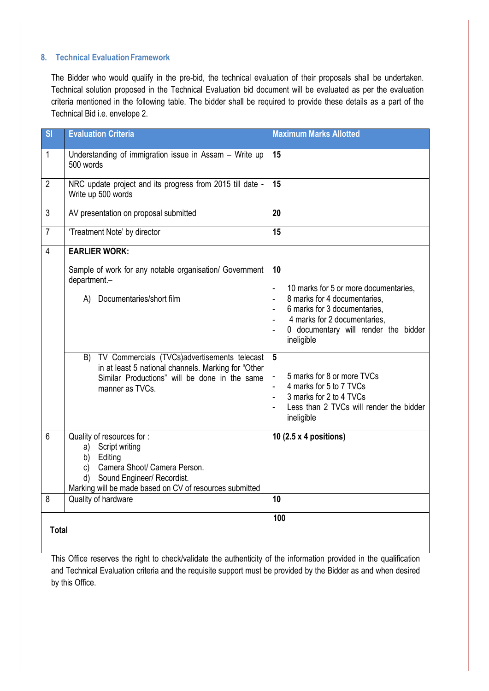### <span id="page-14-0"></span>**8. Technical EvaluationFramework**

The Bidder who would qualify in the pre-bid, the technical evaluation of their proposals shall be undertaken. Technical solution proposed in the Technical Evaluation bid document will be evaluated as per the evaluation criteria mentioned in the following table. The bidder shall be required to provide these details as a part of the Technical Bid i.e. envelope 2.

| S <sub>l</sub> | <b>Evaluation Criteria</b>                                                                                                                                                                                                                                                              | <b>Maximum Marks Allotted</b>                                                                                                                                                                                                                                                                                                                                                                             |
|----------------|-----------------------------------------------------------------------------------------------------------------------------------------------------------------------------------------------------------------------------------------------------------------------------------------|-----------------------------------------------------------------------------------------------------------------------------------------------------------------------------------------------------------------------------------------------------------------------------------------------------------------------------------------------------------------------------------------------------------|
| $\mathbf 1$    | Understanding of immigration issue in Assam - Write up<br>500 words                                                                                                                                                                                                                     | 15                                                                                                                                                                                                                                                                                                                                                                                                        |
| $\overline{2}$ | NRC update project and its progress from 2015 till date -<br>Write up 500 words                                                                                                                                                                                                         | 15                                                                                                                                                                                                                                                                                                                                                                                                        |
| 3              | AV presentation on proposal submitted                                                                                                                                                                                                                                                   | 20                                                                                                                                                                                                                                                                                                                                                                                                        |
| $\overline{7}$ | 'Treatment Note' by director                                                                                                                                                                                                                                                            | 15                                                                                                                                                                                                                                                                                                                                                                                                        |
| $\overline{4}$ | <b>EARLIER WORK:</b>                                                                                                                                                                                                                                                                    |                                                                                                                                                                                                                                                                                                                                                                                                           |
|                | Sample of work for any notable organisation/ Government<br>department.-<br>A) Documentaries/short film<br>TV Commercials (TVCs)advertisements telecast<br>B)<br>in at least 5 national channels. Marking for "Other<br>Similar Productions" will be done in the same<br>manner as TVCs. | 10<br>10 marks for 5 or more documentaries,<br>$\blacksquare$<br>8 marks for 4 documentaries,<br>$\blacksquare$<br>6 marks for 3 documentaries,<br>4 marks for 2 documentaries,<br>0 documentary will render the bidder<br>ineligible<br>5<br>5 marks for 8 or more TVCs<br>4 marks for 5 to 7 TVCs<br>3 marks for 2 to 4 TVCs<br>$\blacksquare$<br>Less than 2 TVCs will render the bidder<br>ineligible |
| 6              | Quality of resources for :<br>Script writing<br>a)<br>Editing<br>b)<br>Camera Shoot/ Camera Person.<br>c)<br>Sound Engineer/ Recordist.<br>d)<br>Marking will be made based on CV of resources submitted                                                                                | 10 (2.5 x 4 positions)                                                                                                                                                                                                                                                                                                                                                                                    |
| 8              | Quality of hardware                                                                                                                                                                                                                                                                     | 10                                                                                                                                                                                                                                                                                                                                                                                                        |
| <b>Total</b>   |                                                                                                                                                                                                                                                                                         | 100                                                                                                                                                                                                                                                                                                                                                                                                       |

This Office reserves the right to check/validate the authenticity of the information provided in the qualification and Technical Evaluation criteria and the requisite support must be provided by the Bidder as and when desired by this Office.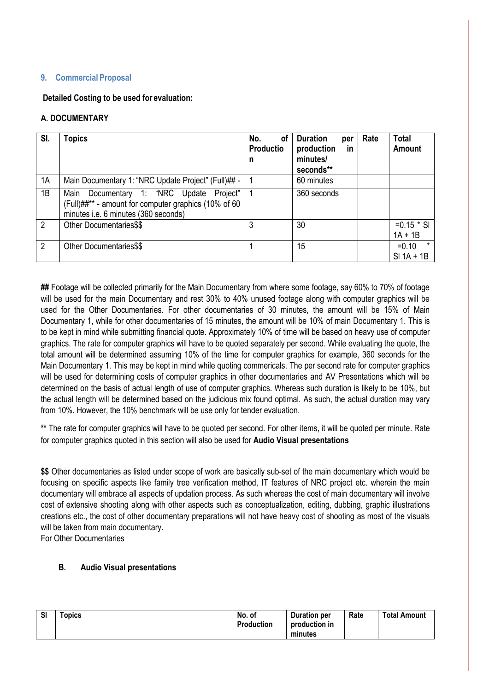#### <span id="page-15-0"></span>**9. Commercial Proposal**

<span id="page-15-1"></span>**Detailed Costing to be used for evaluation:** 

# **A. DOCUMENTARY**

| SI.            | <b>Topics</b>                                                                                                                               | No.<br>οf<br><b>Productio</b> | <b>Duration</b><br>per<br>production<br><b>in</b> | Rate | <b>Total</b><br><b>Amount</b>      |
|----------------|---------------------------------------------------------------------------------------------------------------------------------------------|-------------------------------|---------------------------------------------------|------|------------------------------------|
|                |                                                                                                                                             | n                             | minutes/<br>seconds**                             |      |                                    |
| 1A             | Main Documentary 1: "NRC Update Project" (Full)## -                                                                                         |                               | 60 minutes                                        |      |                                    |
| 1B             | Documentary 1: "NRC Update Project"<br>Main<br>(Full)##** - amount for computer graphics (10% of 60<br>minutes i.e. 6 minutes (360 seconds) |                               | 360 seconds                                       |      |                                    |
| $\overline{2}$ | Other Documentaries\$\$                                                                                                                     |                               | 30                                                |      | $=0.15$ * SI<br>$1A + 1B$          |
| 2              | Other Documentaries\$\$                                                                                                                     |                               | 15                                                |      | $\star$<br>$=0.10$<br>$SI$ 1A + 1B |

**##** Footage will be collected primarily for the Main Documentary from where some footage, say 60% to 70% of footage will be used for the main Documentary and rest 30% to 40% unused footage along with computer graphics will be used for the Other Documentaries. For other documentaries of 30 minutes, the amount will be 15% of Main Documentary 1, while for other documentaries of 15 minutes, the amount will be 10% of main Documentary 1. This is to be kept in mind while submitting financial quote. Approximately 10% of time will be based on heavy use of computer graphics. The rate for computer graphics will have to be quoted separately per second. While evaluating the quote, the total amount will be determined assuming 10% of the time for computer graphics for example, 360 seconds for the Main Documentary 1. This may be kept in mind while quoting commericals. The per second rate for computer graphics will be used for determining costs of computer graphics in other documentaries and AV Presentations which will be determined on the basis of actual length of use of computer graphics. Whereas such duration is likely to be 10%, but the actual length will be determined based on the judicious mix found optimal. As such, the actual duration may vary from 10%. However, the 10% benchmark will be use only for tender evaluation.

**\*\*** The rate for computer graphics will have to be quoted per second. For other items, it will be quoted per minute. Rate for computer graphics quoted in this section will also be used for **Audio Visual presentations**

**\$\$** Other documentaries as listed under scope of work are basically sub-set of the main documentary which would be focusing on specific aspects like family tree verification method, IT features of NRC project etc. wherein the main documentary will embrace all aspects of updation process. As such whereas the cost of main documentary will involve cost of extensive shooting along with other aspects such as conceptualization, editing, dubbing, graphic illustrations creations etc., the cost of other documentary preparations will not have heavy cost of shooting as most of the visuals will be taken from main documentary.

For Other Documentaries

### **B. Audio Visual presentations**

| <b>SI</b> | $\tau$ opics | No. of<br>Production | <b>Duration per</b><br>production in<br>minutes | Rate | <b>Total Amount</b> |
|-----------|--------------|----------------------|-------------------------------------------------|------|---------------------|
|-----------|--------------|----------------------|-------------------------------------------------|------|---------------------|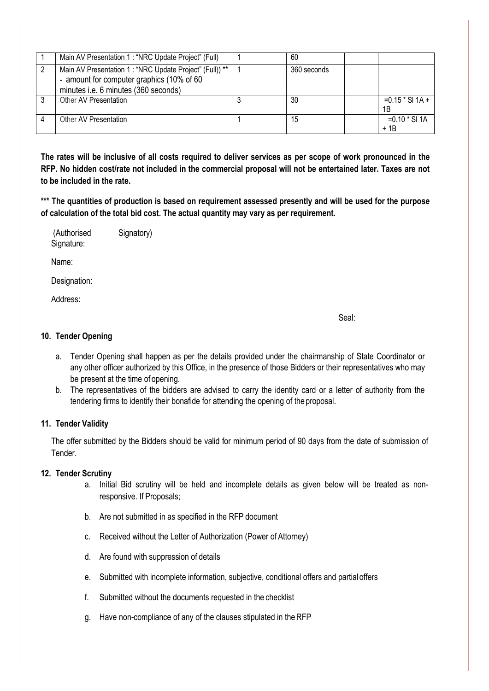| Main AV Presentation 1 : "NRC Update Project" (Full)                                                                                          | 60          |                          |
|-----------------------------------------------------------------------------------------------------------------------------------------------|-------------|--------------------------|
| Main AV Presentation 1 : "NRC Update Project" (Full)) **<br>- amount for computer graphics (10% of 60<br>minutes i.e. 6 minutes (360 seconds) | 360 seconds |                          |
| Other AV Presentation                                                                                                                         | 30          | $=0.15 * SI 1A +$<br>1B  |
| Other AV Presentation                                                                                                                         | 15          | $=0.10 * SI 1A$<br>$+1B$ |

**The rates will be inclusive of all costs required to deliver services as per scope of work pronounced in the RFP. No hidden cost/rate not included in the commercial proposal will not be entertained later. Taxes are not to be included in the rate.** 

**\*\*\* The quantities of production is based on requirement assessed presently and will be used for the purpose of calculation of the total bid cost. The actual quantity may vary as per requirement.** 

| (Authorised | Signatory) |
|-------------|------------|
| Signature:  |            |

Name:

Designation:

Address:

Seal:

#### **10. Tender Opening**

- a. Tender Opening shall happen as per the details provided under the chairmanship of State Coordinator or any other officer authorized by this Office, in the presence of those Bidders or their representatives who may be present at the time of opening.
- b. The representatives of the bidders are advised to carry the identity card or a letter of authority from the tendering firms to identify their bonafide for attending the opening of theproposal.

# **11. Tender Validity**

The offer submitted by the Bidders should be valid for minimum period of 90 days from the date of submission of Tender.

# **12. Tender Scrutiny**

- a. Initial Bid scrutiny will be held and incomplete details as given below will be treated as nonresponsive. If Proposals;
- b. Are not submitted in as specified in the RFP document
- c. Received without the Letter of Authorization (Power of Attorney)
- d. Are found with suppression of details
- e. Submitted with incomplete information, subjective, conditional offers and partialoffers
- f. Submitted without the documents requested in the checklist
- g. Have non-compliance of any of the clauses stipulated in theRFP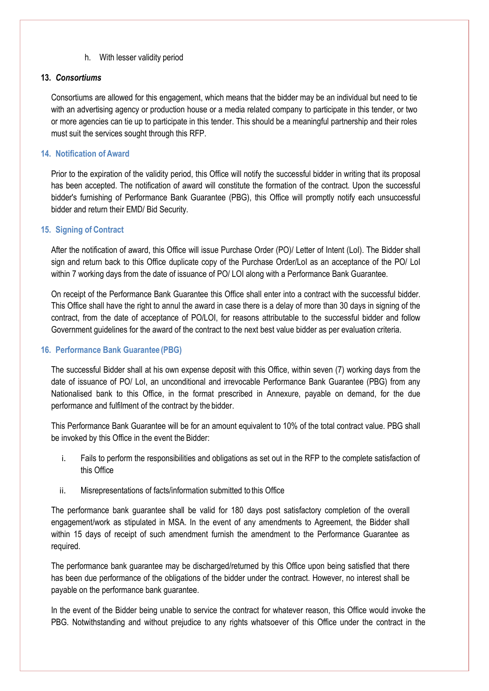#### h. With lesser validity period

#### <span id="page-17-0"></span>**13.** *Consortiums*

Consortiums are allowed for this engagement, which means that the bidder may be an individual but need to tie with an advertising agency or production house or a media related company to participate in this tender, or two or more agencies can tie up to participate in this tender. This should be a meaningful partnership and their roles must suit the services sought through this RFP.

#### <span id="page-17-1"></span>**14. Notification of Award**

Prior to the expiration of the validity period, this Office will notify the successful bidder in writing that its proposal has been accepted. The notification of award will constitute the formation of the contract. Upon the successful bidder's furnishing of Performance Bank Guarantee (PBG), this Office will promptly notify each unsuccessful bidder and return their EMD/ Bid Security.

### <span id="page-17-2"></span>**15. Signing of Contract**

After the notification of award, this Office will issue Purchase Order (PO)/ Letter of Intent (LoI). The Bidder shall sign and return back to this Office duplicate copy of the Purchase Order/LoI as an acceptance of the PO/ LoI within 7 working days from the date of issuance of PO/ LOI along with a Performance Bank Guarantee.

On receipt of the Performance Bank Guarantee this Office shall enter into a contract with the successful bidder. This Office shall have the right to annul the award in case there is a delay of more than 30 days in signing of the contract, from the date of acceptance of PO/LOI, for reasons attributable to the successful bidder and follow Government guidelines for the award of the contract to the next best value bidder as per evaluation criteria.

#### <span id="page-17-3"></span>**16. Performance Bank Guarantee (PBG)**

The successful Bidder shall at his own expense deposit with this Office, within seven (7) working days from the date of issuance of PO/ LoI, an unconditional and irrevocable Performance Bank Guarantee (PBG) from any Nationalised bank to this Office, in the format prescribed in Annexure, payable on demand, for the due performance and fulfilment of the contract by the bidder.

This Performance Bank Guarantee will be for an amount equivalent to 10% of the total contract value. PBG shall be invoked by this Office in the event the Bidder:

- i. Fails to perform the responsibilities and obligations as set out in the RFP to the complete satisfaction of this Office
- ii. Misrepresentations of facts/information submitted to this Office

The performance bank guarantee shall be valid for 180 days post satisfactory completion of the overall engagement/work as stipulated in MSA. In the event of any amendments to Agreement, the Bidder shall within 15 days of receipt of such amendment furnish the amendment to the Performance Guarantee as required.

The performance bank guarantee may be discharged/returned by this Office upon being satisfied that there has been due performance of the obligations of the bidder under the contract. However, no interest shall be payable on the performance bank guarantee.

In the event of the Bidder being unable to service the contract for whatever reason, this Office would invoke the PBG. Notwithstanding and without prejudice to any rights whatsoever of this Office under the contract in the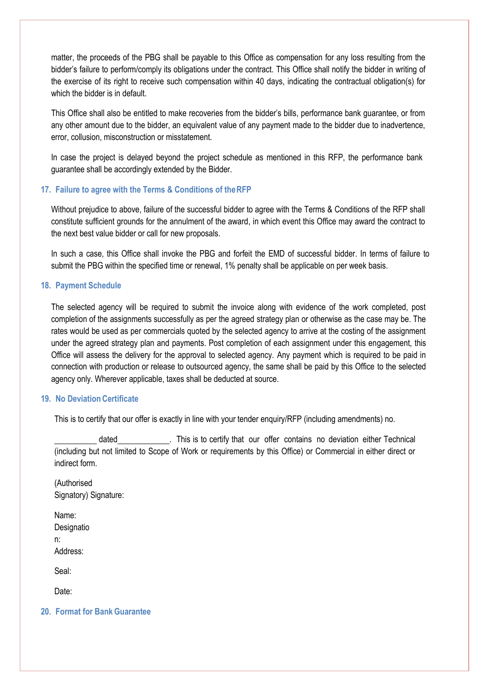matter, the proceeds of the PBG shall be payable to this Office as compensation for any loss resulting from the bidder's failure to perform/comply its obligations under the contract. This Office shall notify the bidder in writing of the exercise of its right to receive such compensation within 40 days, indicating the contractual obligation(s) for which the bidder is in default.

This Office shall also be entitled to make recoveries from the bidder's bills, performance bank guarantee, or from any other amount due to the bidder, an equivalent value of any payment made to the bidder due to inadvertence, error, collusion, misconstruction or misstatement.

In case the project is delayed beyond the project schedule as mentioned in this RFP, the performance bank guarantee shall be accordingly extended by the Bidder.

#### <span id="page-18-0"></span>**17. Failure to agree with the Terms & Conditions of theRFP**

Without prejudice to above, failure of the successful bidder to agree with the Terms & Conditions of the RFP shall constitute sufficient grounds for the annulment of the award, in which event this Office may award the contract to the next best value bidder or call for new proposals.

In such a case, this Office shall invoke the PBG and forfeit the EMD of successful bidder. In terms of failure to submit the PBG within the specified time or renewal, 1% penalty shall be applicable on per week basis.

#### <span id="page-18-1"></span>**18. Payment Schedule**

The selected agency will be required to submit the invoice along with evidence of the work completed, post completion of the assignments successfully as per the agreed strategy plan or otherwise as the case may be. The rates would be used as per commercials quoted by the selected agency to arrive at the costing of the assignment under the agreed strategy plan and payments. Post completion of each assignment under this engagement, this Office will assess the delivery for the approval to selected agency. Any payment which is required to be paid in connection with production or release to outsourced agency, the same shall be paid by this Office to the selected agency only. Wherever applicable, taxes shall be deducted at source.

#### <span id="page-18-2"></span>**19. No Deviation Certificate**

This is to certify that our offer is exactly in line with your tender enquiry/RFP (including amendments) no.

dated . This is to certify that our offer contains no deviation either Technical (including but not limited to Scope of Work or requirements by this Office) or Commercial in either direct or indirect form.

(Authorised Signatory) Signature:

Name: **Designatio** n: Address:

Seal:

Date:

#### <span id="page-18-3"></span>**20. Format for BankGuarantee**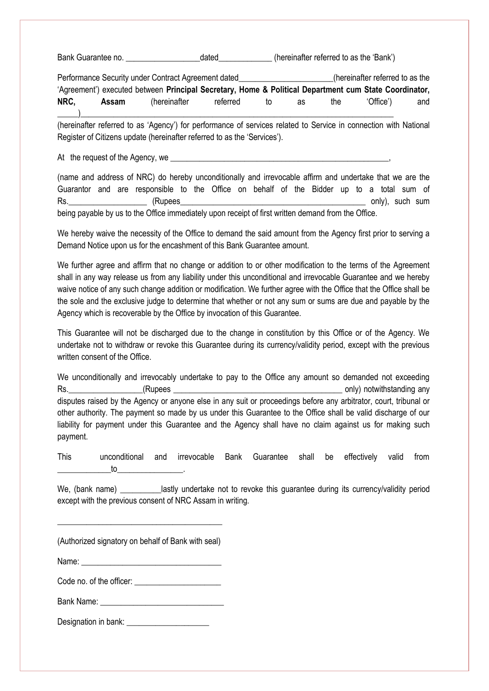Bank Guarantee no. \_\_\_\_\_\_\_\_\_\_\_\_\_\_\_\_\_\_dated\_\_\_\_\_\_\_\_\_\_\_\_\_ (hereinafter referred to as the 'Bank')

Performance Security under Contract Agreement dated\_\_\_\_\_\_\_\_\_\_\_\_\_\_\_\_\_\_\_(hereinafter referred to as the 'Agreement') executed between **Principal Secretary, Home & Political Department cum State Coordinator, NRC, Assam** (hereinafter referred to as the 'Office') and \_\_\_\_\_)\_\_\_\_\_\_\_\_\_\_\_\_\_\_\_\_\_\_\_\_\_\_\_\_\_\_\_\_\_\_\_\_\_\_\_\_\_\_\_\_\_\_\_\_\_\_\_\_\_\_\_\_\_\_\_\_\_\_\_\_\_\_\_\_\_\_\_\_\_\_\_\_\_\_\_\_

(hereinafter referred to as 'Agency') for performance of services related to Service in connection with National Register of Citizens update (hereinafter referred to as the 'Services').

At the request of the Agency, we

(name and address of NRC) do hereby unconditionally and irrevocable affirm and undertake that we are the Guarantor and are responsible to the Office on behalf of the Bidder up to a total sum of Rs.\_\_\_\_\_\_\_\_\_\_\_\_\_\_\_\_\_\_\_ (Rupees\_\_\_\_\_\_\_\_\_\_\_\_\_\_\_\_\_\_\_\_\_\_\_\_\_\_\_\_\_\_\_\_\_\_\_\_\_\_\_\_\_\_\_\_\_ only), such sum

being payable by us to the Office immediately upon receipt of first written demand from the Office.

We hereby waive the necessity of the Office to demand the said amount from the Agency first prior to serving a Demand Notice upon us for the encashment of this Bank Guarantee amount.

We further agree and affirm that no change or addition to or other modification to the terms of the Agreement shall in any way release us from any liability under this unconditional and irrevocable Guarantee and we hereby waive notice of any such change addition or modification. We further agree with the Office that the Office shall be the sole and the exclusive judge to determine that whether or not any sum or sums are due and payable by the Agency which is recoverable by the Office by invocation of this Guarantee.

This Guarantee will not be discharged due to the change in constitution by this Office or of the Agency. We undertake not to withdraw or revoke this Guarantee during its currency/validity period, except with the previous written consent of the Office.

We unconditionally and irrevocably undertake to pay to the Office any amount so demanded not exceeding Rs. The contract of the contract of the contract of the contract of the contract only notwithstanding any only in the contract of the contract of the contract of the contract of the contract of the contract of the contract disputes raised by the Agency or anyone else in any suit or proceedings before any arbitrator, court, tribunal or other authority. The payment so made by us under this Guarantee to the Office shall be valid discharge of our liability for payment under this Guarantee and the Agency shall have no claim against us for making such payment.

This unconditional and irrevocable Bank Guarantee shall be effectively valid from  $\mathsf{to}$   $\blacksquare$ 

We, (bank name) \_\_\_\_\_\_\_\_\_\_\_lastly undertake not to revoke this guarantee during its currency/validity period except with the previous consent of NRC Assam in writing.

(Authorized signatory on behalf of Bank with seal)

\_\_\_\_\_\_\_\_\_\_\_\_\_\_\_\_\_\_\_\_\_\_\_\_\_\_\_\_\_\_\_\_\_\_\_\_\_\_\_\_

Name:

Code no. of the officer:

Bank Name:  $\Box$ 

Designation in bank: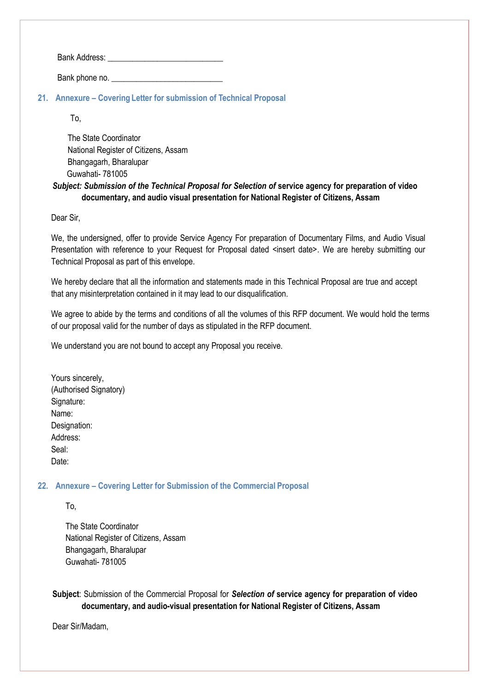Bank Address: \_\_\_\_\_\_\_\_\_\_\_\_\_\_\_\_\_\_\_\_\_\_\_\_\_\_\_\_

Bank phone no.

<span id="page-20-0"></span>**21. Annexure – Covering Letter for submission of Technical Proposal**

To,

 The State Coordinator National Register of Citizens, Assam Bhangagarh, Bharalupar Guwahati- 781005

# *Subject: Submission of the Technical Proposal for Selection of* **service agency for preparation of video documentary, and audio visual presentation for National Register of Citizens, Assam**

Dear Sir,

We, the undersigned, offer to provide Service Agency For preparation of Documentary Films, and Audio Visual Presentation with reference to your Request for Proposal dated <insert date>. We are hereby submitting our Technical Proposal as part of this envelope.

We hereby declare that all the information and statements made in this Technical Proposal are true and accept that any misinterpretation contained in it may lead to our disqualification.

We agree to abide by the terms and conditions of all the volumes of this RFP document. We would hold the terms of our proposal valid for the number of days as stipulated in the RFP document.

We understand you are not bound to accept any Proposal you receive.

Yours sincerely, (Authorised Signatory) Signature: Name: Designation: Address: Seal: Date:

### <span id="page-20-1"></span>**22. Annexure – Covering Letter for Submission of the Commercial Proposal**

To,

 The State Coordinator National Register of Citizens, Assam Bhangagarh, Bharalupar Guwahati- 781005

**Subject**: Submission of the Commercial Proposal for *Selection of* **service agency for preparation of video documentary, and audio-visual presentation for National Register of Citizens, Assam**

Dear Sir/Madam,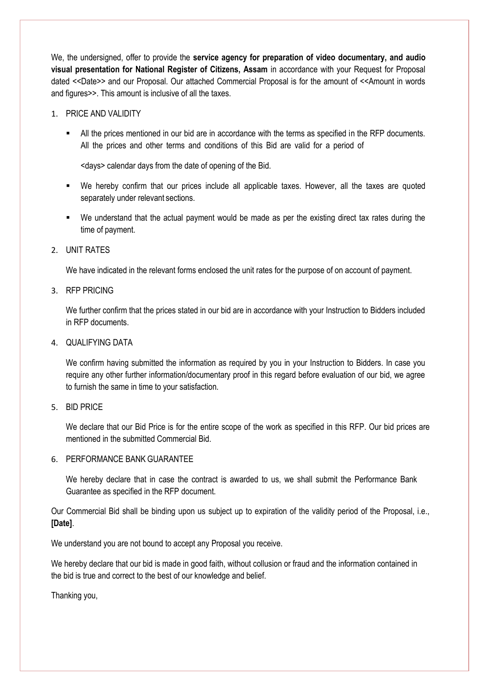We, the undersigned, offer to provide the **service agency for preparation of video documentary, and audio visual presentation for National Register of Citizens, Assam** in accordance with your Request for Proposal dated <<Date>> and our Proposal. Our attached Commercial Proposal is for the amount of <<Amount in words and figures>>. This amount is inclusive of all the taxes.

### 1. PRICE AND VALIDITY

 All the prices mentioned in our bid are in accordance with the terms as specified in the RFP documents. All the prices and other terms and conditions of this Bid are valid for a period of

<days> calendar days from the date of opening of the Bid.

- We hereby confirm that our prices include all applicable taxes. However, all the taxes are quoted separately under relevant sections.
- We understand that the actual payment would be made as per the existing direct tax rates during the time of payment.
- 2. UNIT RATES

We have indicated in the relevant forms enclosed the unit rates for the purpose of on account of payment.

3. RFP PRICING

We further confirm that the prices stated in our bid are in accordance with your Instruction to Bidders included in RFP documents.

4. QUALIFYING DATA

We confirm having submitted the information as required by you in your Instruction to Bidders. In case you require any other further information/documentary proof in this regard before evaluation of our bid, we agree to furnish the same in time to your satisfaction.

5. BID PRICE

We declare that our Bid Price is for the entire scope of the work as specified in this RFP. Our bid prices are mentioned in the submitted Commercial Bid.

#### 6. PERFORMANCE BANK GUARANTEE

We hereby declare that in case the contract is awarded to us, we shall submit the Performance Bank Guarantee as specified in the RFP document.

Our Commercial Bid shall be binding upon us subject up to expiration of the validity period of the Proposal, i.e., **[Date]**.

We understand you are not bound to accept any Proposal you receive.

We hereby declare that our bid is made in good faith, without collusion or fraud and the information contained in the bid is true and correct to the best of our knowledge and belief.

Thanking you,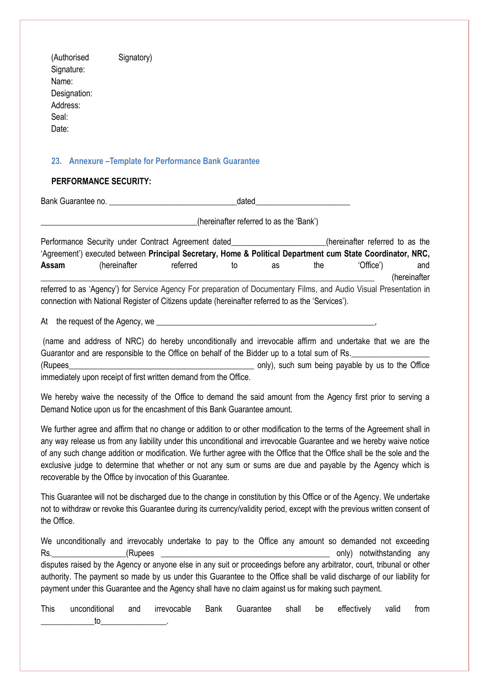<span id="page-22-0"></span>(Authorised Signatory) Signature: Name: Designation: Address: Seal: Date: **23. Annexure –Template for Performance Bank Guarantee PERFORMANCE SECURITY:** Bank Guarantee no. <br>
and the set of the set of the set of the set of the set of the set of the set of the set of the set of the set of the set of the set of the set of the set of the set of the set of the set of the set of (hereinafter referred to as the 'Bank') Performance Security under Contract Agreement dated Theorem is a structure of the equation of the Performance Security under Contract Agreement dated 'Agreement') executed between **Principal Secretary, Home & Political Department cum State Coordinator, NRC,**  Assam (hereinafter referred to as the 'Office') and \_\_\_\_\_\_\_\_\_\_\_\_\_\_\_\_\_\_\_\_\_\_\_\_\_\_\_\_\_\_\_\_\_\_\_\_\_\_\_\_\_\_\_\_\_\_\_\_\_\_\_\_\_\_\_\_\_\_\_\_\_\_\_\_\_\_\_\_\_\_\_\_\_\_\_\_\_\_\_\_\_ (hereinafter referred to as 'Agency') for Service Agency For preparation of Documentary Films, and Audio Visual Presentation in connection with National Register of Citizens update (hereinafter referred to as the 'Services'). At the request of the Agency, we (name and address of NRC) do hereby unconditionally and irrevocable affirm and undertake that we are the Guarantor and are responsible to the Office on behalf of the Bidder up to a total sum of Rs. (Rupees extending the only), such sum being payable by us to the Office immediately upon receipt of first written demand from the Office. We hereby waive the necessity of the Office to demand the said amount from the Agency first prior to serving a Demand Notice upon us for the encashment of this Bank Guarantee amount. We further agree and affirm that no change or addition to or other modification to the terms of the Agreement shall in any way release us from any liability under this unconditional and irrevocable Guarantee and we hereby waive notice of any such change addition or modification. We further agree with the Office that the Office shall be the sole and the exclusive judge to determine that whether or not any sum or sums are due and payable by the Agency which is recoverable by the Office by invocation of this Guarantee.

This Guarantee will not be discharged due to the change in constitution by this Office or of the Agency. We undertake not to withdraw or revoke this Guarantee during its currency/validity period, except with the previous written consent of the Office.

We unconditionally and irrevocably undertake to pay to the Office any amount so demanded not exceeding Rs. The contract of the contract of the contract of the contract of the contract only notwithstanding any only in the contract of the contract of the contract of the contract of the contract of the contract of the contract disputes raised by the Agency or anyone else in any suit or proceedings before any arbitrator, court, tribunal or other authority. The payment so made by us under this Guarantee to the Office shall be valid discharge of our liability for payment under this Guarantee and the Agency shall have no claim against us for making such payment.

This unconditional and irrevocable Bank Guarantee shall be effectively valid from \_\_\_\_\_\_\_\_\_\_\_\_\_to\_\_\_\_\_\_\_\_\_\_\_\_\_\_\_\_.